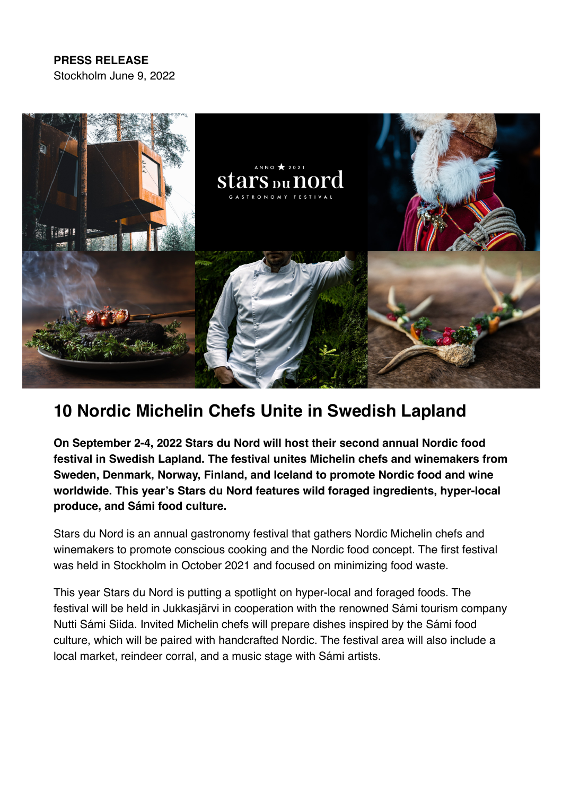## **PRESS RELEASE**

Stockholm June 9, 2022



# **10 Nordic Michelin Chefs Unite in Swedish Lapland**

**On September 2-4, 2022 Stars du Nord will host their second annual Nordic food festival in Swedish Lapland. The festival unites Michelin chefs and winemakers from Sweden, Denmark, Norway, Finland, and Iceland to promote Nordic food and wine worldwide. This year's Stars du Nord features wild foraged ingredients, hyper-local produce, and Sámi food culture.**

Stars du Nord is an annual gastronomy festival that gathers Nordic Michelin chefs and winemakers to promote conscious cooking and the Nordic food concept. The first festival was held in Stockholm in October 2021 and focused on minimizing food waste.

This year Stars du Nord is putting a spotlight on hyper-local and foraged foods. The festival will be held in Jukkasjärvi in cooperation with the renowned Sámi tourism company Nutti Sámi Siida. Invited Michelin chefs will prepare dishes inspired by the Sámi food culture, which will be paired with handcrafted Nordic. The festival area will also include a local market, reindeer corral, and a music stage with Sámi artists.